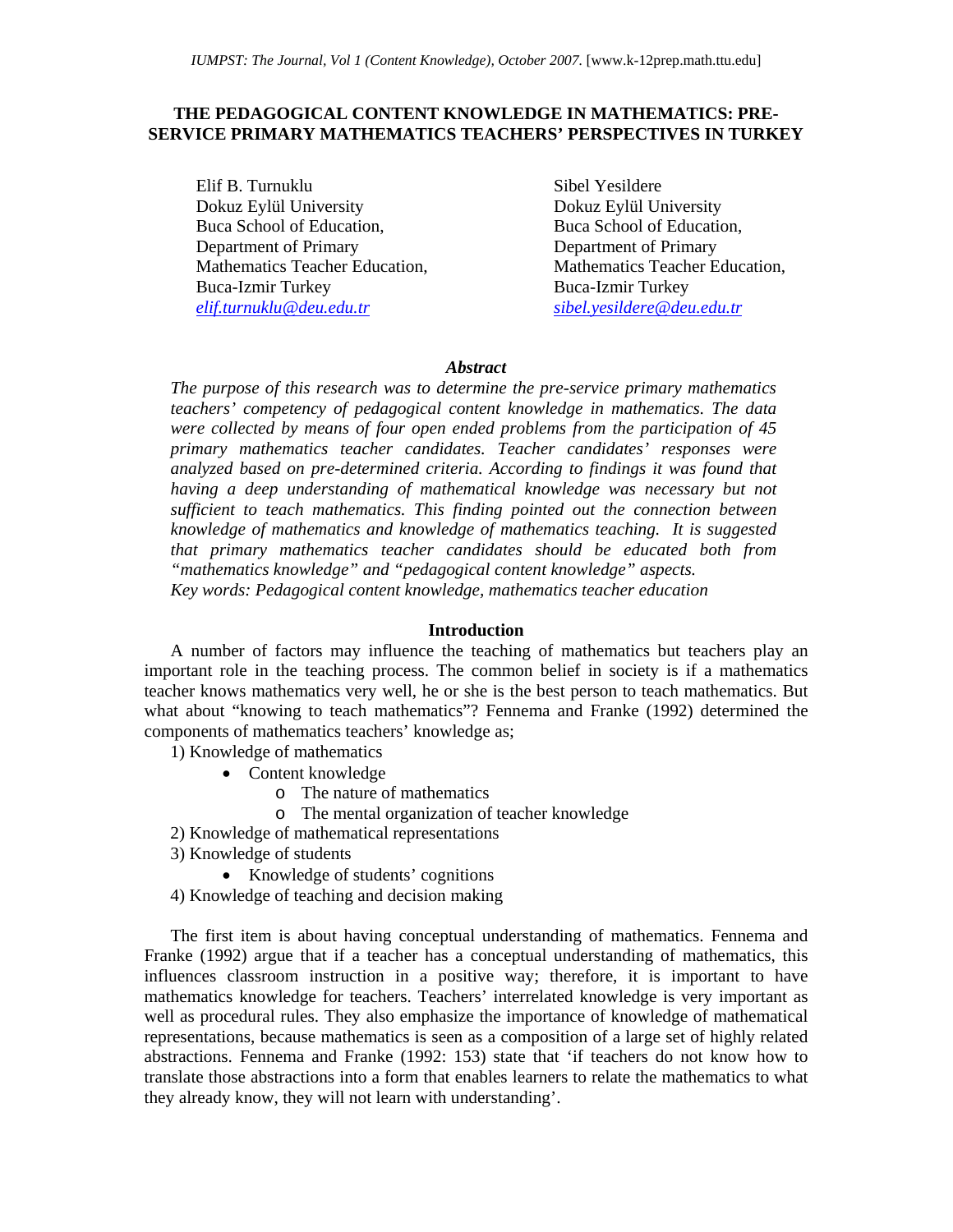# **THE PEDAGOGICAL CONTENT KNOWLEDGE IN MATHEMATICS: PRE-SERVICE PRIMARY MATHEMATICS TEACHERS' PERSPECTIVES IN TURKEY**

Elif B. Turnuklu Dokuz Eylül University Buca School of Education, Department of Primary Mathematics Teacher Education, Buca-Izmir Turkey *elif.turnuklu@deu.edu.tr* 

Sibel Yesildere Dokuz Eylül University Buca School of Education, Department of Primary Mathematics Teacher Education, Buca-Izmir Turkey *sibel.yesildere@deu.edu.tr* 

# *Abstract*

*The purpose of this research was to determine the pre-service primary mathematics teachers' competency of pedagogical content knowledge in mathematics. The data were collected by means of four open ended problems from the participation of 45 primary mathematics teacher candidates. Teacher candidates' responses were analyzed based on pre-determined criteria. According to findings it was found that having a deep understanding of mathematical knowledge was necessary but not sufficient to teach mathematics. This finding pointed out the connection between knowledge of mathematics and knowledge of mathematics teaching. It is suggested that primary mathematics teacher candidates should be educated both from "mathematics knowledge" and "pedagogical content knowledge" aspects. Key words: Pedagogical content knowledge, mathematics teacher education* 

## **Introduction**

A number of factors may influence the teaching of mathematics but teachers play an important role in the teaching process. The common belief in society is if a mathematics teacher knows mathematics very well, he or she is the best person to teach mathematics. But what about "knowing to teach mathematics"? Fennema and Franke (1992) determined the components of mathematics teachers' knowledge as;

1) Knowledge of mathematics

- Content knowledge
	- o The nature of mathematics
	- o The mental organization of teacher knowledge
- 2) Knowledge of mathematical representations
- 3) Knowledge of students
	- Knowledge of students' cognitions
- 4) Knowledge of teaching and decision making

The first item is about having conceptual understanding of mathematics. Fennema and Franke (1992) argue that if a teacher has a conceptual understanding of mathematics, this influences classroom instruction in a positive way; therefore, it is important to have mathematics knowledge for teachers. Teachers' interrelated knowledge is very important as well as procedural rules. They also emphasize the importance of knowledge of mathematical representations, because mathematics is seen as a composition of a large set of highly related abstractions. Fennema and Franke (1992: 153) state that 'if teachers do not know how to translate those abstractions into a form that enables learners to relate the mathematics to what they already know, they will not learn with understanding'.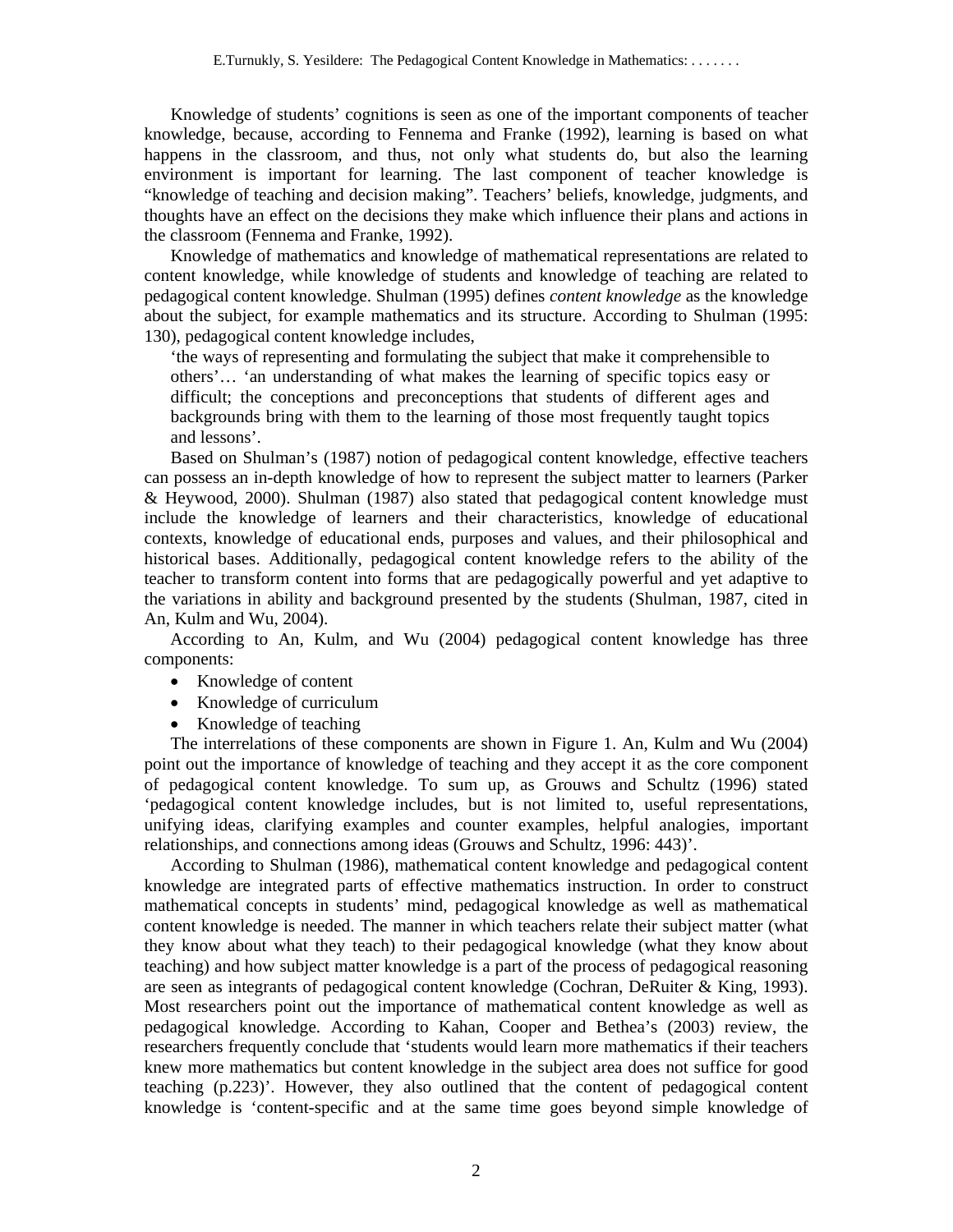Knowledge of students' cognitions is seen as one of the important components of teacher knowledge, because, according to Fennema and Franke (1992), learning is based on what happens in the classroom, and thus, not only what students do, but also the learning environment is important for learning. The last component of teacher knowledge is "knowledge of teaching and decision making". Teachers' beliefs, knowledge, judgments, and thoughts have an effect on the decisions they make which influence their plans and actions in the classroom (Fennema and Franke, 1992).

Knowledge of mathematics and knowledge of mathematical representations are related to content knowledge, while knowledge of students and knowledge of teaching are related to pedagogical content knowledge. Shulman (1995) defines *content knowledge* as the knowledge about the subject, for example mathematics and its structure. According to Shulman (1995: 130), pedagogical content knowledge includes,

'the ways of representing and formulating the subject that make it comprehensible to others'… 'an understanding of what makes the learning of specific topics easy or difficult; the conceptions and preconceptions that students of different ages and backgrounds bring with them to the learning of those most frequently taught topics and lessons'.

Based on Shulman's (1987) notion of pedagogical content knowledge, effective teachers can possess an in-depth knowledge of how to represent the subject matter to learners (Parker & Heywood, 2000). Shulman (1987) also stated that pedagogical content knowledge must include the knowledge of learners and their characteristics, knowledge of educational contexts, knowledge of educational ends, purposes and values, and their philosophical and historical bases. Additionally, pedagogical content knowledge refers to the ability of the teacher to transform content into forms that are pedagogically powerful and yet adaptive to the variations in ability and background presented by the students (Shulman, 1987, cited in An, Kulm and Wu, 2004).

According to An, Kulm, and Wu (2004) pedagogical content knowledge has three components:

- Knowledge of content
- Knowledge of curriculum
- Knowledge of teaching

The interrelations of these components are shown in Figure 1. An, Kulm and Wu (2004) point out the importance of knowledge of teaching and they accept it as the core component of pedagogical content knowledge. To sum up, as Grouws and Schultz (1996) stated 'pedagogical content knowledge includes, but is not limited to, useful representations, unifying ideas, clarifying examples and counter examples, helpful analogies, important relationships, and connections among ideas (Grouws and Schultz, 1996: 443)'.

According to Shulman (1986), mathematical content knowledge and pedagogical content knowledge are integrated parts of effective mathematics instruction. In order to construct mathematical concepts in students' mind, pedagogical knowledge as well as mathematical content knowledge is needed. The manner in which teachers relate their subject matter (what they know about what they teach) to their pedagogical knowledge (what they know about teaching) and how subject matter knowledge is a part of the process of pedagogical reasoning are seen as integrants of pedagogical content knowledge (Cochran, DeRuiter & King, 1993). Most researchers point out the importance of mathematical content knowledge as well as pedagogical knowledge. According to Kahan, Cooper and Bethea's (2003) review, the researchers frequently conclude that 'students would learn more mathematics if their teachers knew more mathematics but content knowledge in the subject area does not suffice for good teaching (p.223)'. However, they also outlined that the content of pedagogical content knowledge is 'content-specific and at the same time goes beyond simple knowledge of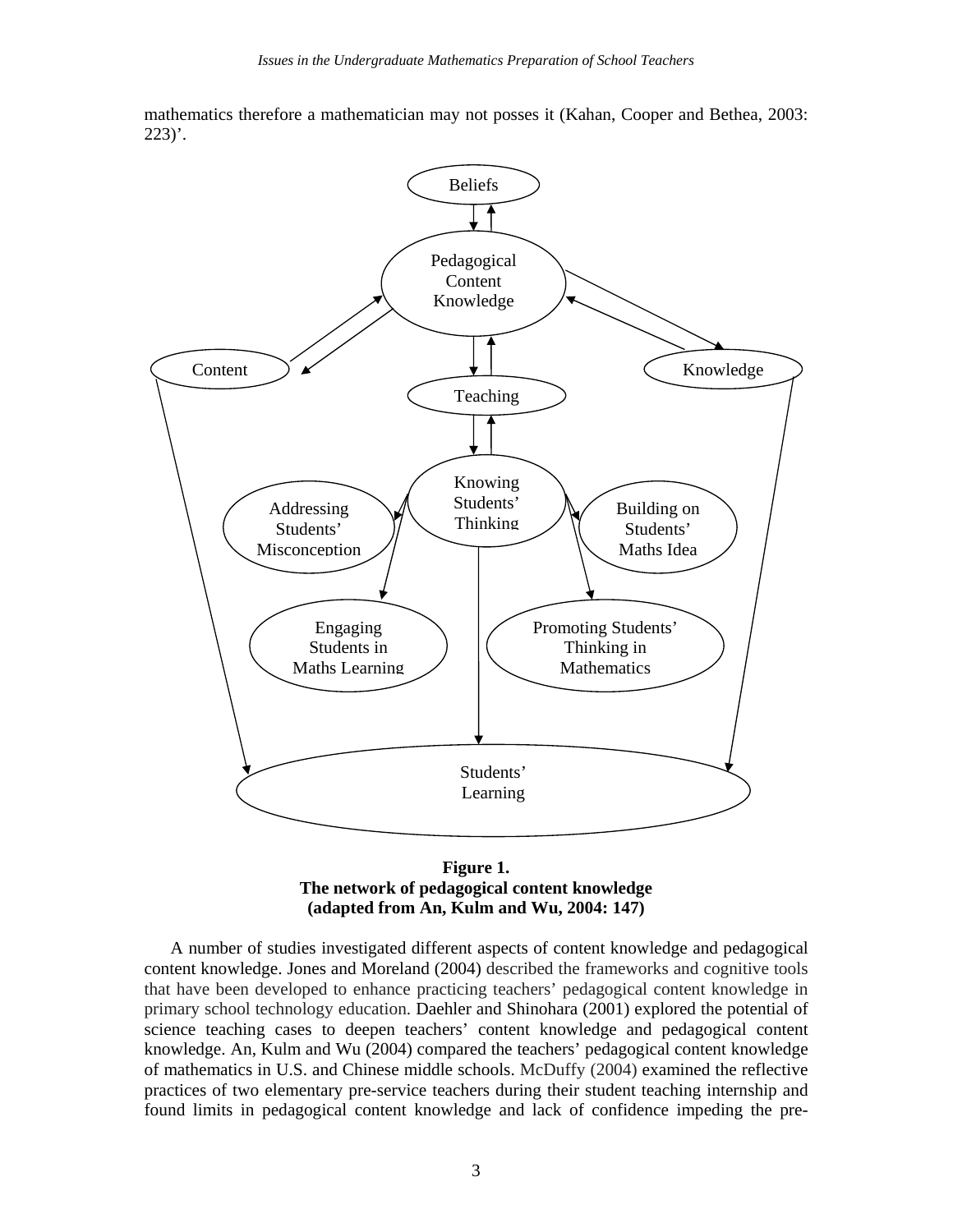mathematics therefore a mathematician may not posses it (Kahan, Cooper and Bethea, 2003:  $223$ )'.



**Figure 1. The network of pedagogical content knowledge (adapted from An, Kulm and Wu, 2004: 147)**

A number of studies investigated different aspects of content knowledge and pedagogical content knowledge. Jones and Moreland (2004) described the frameworks and cognitive tools that have been developed to enhance practicing teachers' pedagogical content knowledge in primary school technology education. Daehler and Shinohara (2001) explored the potential of science teaching cases to deepen teachers' content knowledge and pedagogical content knowledge. An, Kulm and Wu (2004) compared the teachers' pedagogical content knowledge of mathematics in U.S. and Chinese middle schools. McDuffy (2004) examined the reflective practices of two elementary pre-service teachers during their student teaching internship and found limits in pedagogical content knowledge and lack of confidence impeding the pre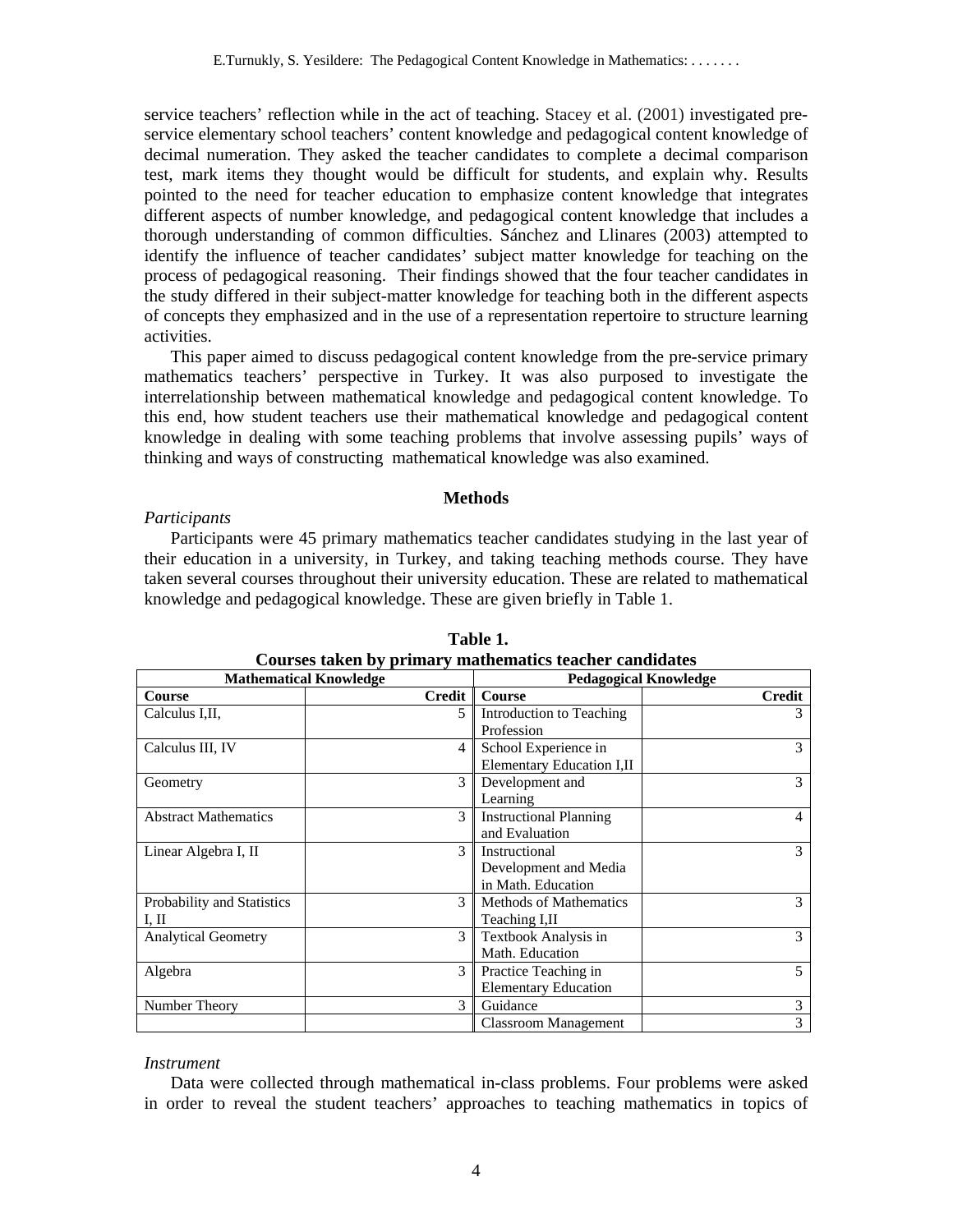service teachers' reflection while in the act of teaching. Stacey et al. (2001) investigated preservice elementary school teachers' content knowledge and pedagogical content knowledge of decimal numeration. They asked the teacher candidates to complete a decimal comparison test, mark items they thought would be difficult for students, and explain why. Results pointed to the need for teacher education to emphasize content knowledge that integrates different aspects of number knowledge, and pedagogical content knowledge that includes a thorough understanding of common difficulties. Sánchez and Llinares (2003) attempted to identify the influence of teacher candidates' subject matter knowledge for teaching on the process of pedagogical reasoning. Their findings showed that the four teacher candidates in the study differed in their subject-matter knowledge for teaching both in the different aspects of concepts they emphasized and in the use of a representation repertoire to structure learning activities.

This paper aimed to discuss pedagogical content knowledge from the pre-service primary mathematics teachers' perspective in Turkey. It was also purposed to investigate the interrelationship between mathematical knowledge and pedagogical content knowledge. To this end, how student teachers use their mathematical knowledge and pedagogical content knowledge in dealing with some teaching problems that involve assessing pupils' ways of thinking and ways of constructing mathematical knowledge was also examined.

## **Methods**

#### *Participants*

Participants were 45 primary mathematics teacher candidates studying in the last year of their education in a university, in Turkey, and taking teaching methods course. They have taken several courses throughout their university education. These are related to mathematical knowledge and pedagogical knowledge. These are given briefly in Table 1.

| <b>Mathematical Knowledge</b> |               | <b>Pedagogical Knowledge</b>  |        |
|-------------------------------|---------------|-------------------------------|--------|
| <b>Course</b>                 | <b>Credit</b> | <b>Course</b>                 | Credit |
| Calculus I.II.                | 5             | Introduction to Teaching      | 3      |
|                               |               | Profession                    |        |
| Calculus III, IV              | 4             | School Experience in          | 3      |
|                               |               | Elementary Education I,II     |        |
| Geometry                      | 3             | Development and               | 3      |
|                               |               | Learning                      |        |
| <b>Abstract Mathematics</b>   | 3             | <b>Instructional Planning</b> | 4      |
|                               |               | and Evaluation                |        |
| Linear Algebra I, II          | $\mathcal{F}$ | Instructional                 | 3      |
|                               |               | Development and Media         |        |
|                               |               | in Math. Education            |        |
| Probability and Statistics    | $\mathcal{F}$ | <b>Methods of Mathematics</b> | 3      |
| I, II                         |               | Teaching I,II                 |        |
| <b>Analytical Geometry</b>    | 3             | Textbook Analysis in          | 3      |
|                               |               | Math. Education               |        |
| Algebra                       | 3             | Practice Teaching in          | 5      |
|                               |               | <b>Elementary Education</b>   |        |
| Number Theory                 | $\mathcal{F}$ | Guidance                      | 3      |
|                               |               | <b>Classroom Management</b>   | 3      |

 **Table 1. Courses taken by primary mathematics teacher candidates** 

#### *Instrument*

Data were collected through mathematical in-class problems. Four problems were asked in order to reveal the student teachers' approaches to teaching mathematics in topics of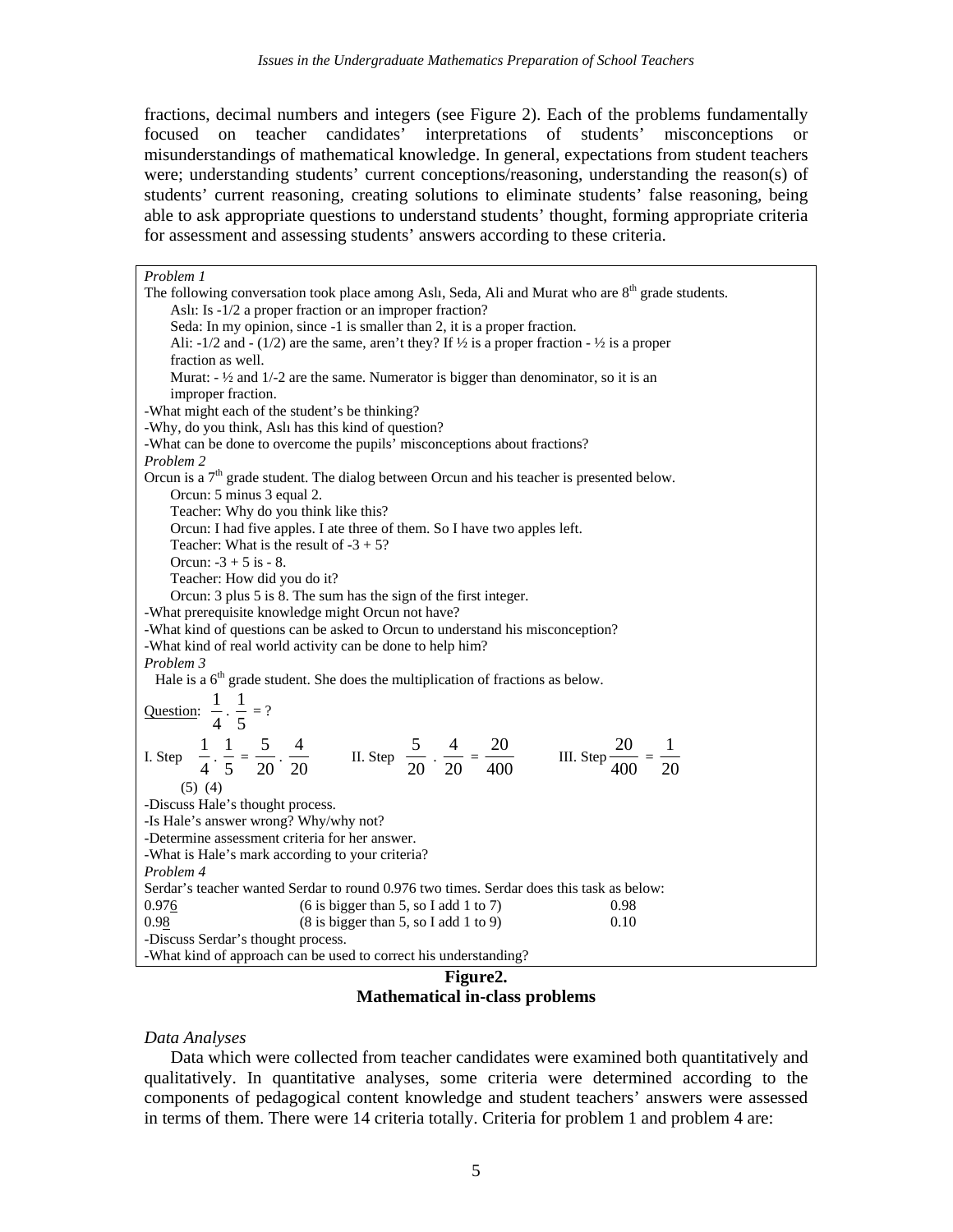fractions, decimal numbers and integers (see Figure 2). Each of the problems fundamentally focused on teacher candidates' interpretations of students' misconceptions or misunderstandings of mathematical knowledge. In general, expectations from student teachers were; understanding students' current conceptions/reasoning, understanding the reason(s) of students' current reasoning, creating solutions to eliminate students' false reasoning, being able to ask appropriate questions to understand students' thought, forming appropriate criteria for assessment and assessing students' answers according to these criteria.

| Problem 1                                                                                                                                                                       |  |  |  |  |
|---------------------------------------------------------------------------------------------------------------------------------------------------------------------------------|--|--|--|--|
| The following conversation took place among Aslı, Seda, Ali and Murat who are 8 <sup>th</sup> grade students.                                                                   |  |  |  |  |
| Aslı: Is -1/2 a proper fraction or an improper fraction?                                                                                                                        |  |  |  |  |
| Seda: In my opinion, since -1 is smaller than 2, it is a proper fraction.                                                                                                       |  |  |  |  |
| Ali: -1/2 and - (1/2) are the same, aren't they? If $\frac{1}{2}$ is a proper fraction - $\frac{1}{2}$ is a proper                                                              |  |  |  |  |
| fraction as well.                                                                                                                                                               |  |  |  |  |
| Murat: $-$ 1/2 and 1/-2 are the same. Numerator is bigger than denominator, so it is an                                                                                         |  |  |  |  |
| improper fraction.                                                                                                                                                              |  |  |  |  |
| -What might each of the student's be thinking?                                                                                                                                  |  |  |  |  |
| -Why, do you think, Aslı has this kind of question?                                                                                                                             |  |  |  |  |
| -What can be done to overcome the pupils' misconceptions about fractions?                                                                                                       |  |  |  |  |
| Problem 2                                                                                                                                                                       |  |  |  |  |
| Orcun is a $7th$ grade student. The dialog between Orcun and his teacher is presented below.                                                                                    |  |  |  |  |
| Orcun: 5 minus 3 equal 2.                                                                                                                                                       |  |  |  |  |
| Teacher: Why do you think like this?                                                                                                                                            |  |  |  |  |
| Orcun: I had five apples. I ate three of them. So I have two apples left.                                                                                                       |  |  |  |  |
| Teacher: What is the result of $-3 + 5$ ?                                                                                                                                       |  |  |  |  |
| Orcun: $-3 + 5$ is $-8$ .                                                                                                                                                       |  |  |  |  |
| Teacher: How did you do it?                                                                                                                                                     |  |  |  |  |
| Orcun: 3 plus 5 is 8. The sum has the sign of the first integer.                                                                                                                |  |  |  |  |
| -What prerequisite knowledge might Orcun not have?                                                                                                                              |  |  |  |  |
| -What kind of questions can be asked to Orcun to understand his misconception?                                                                                                  |  |  |  |  |
| -What kind of real world activity can be done to help him?                                                                                                                      |  |  |  |  |
| Problem 3                                                                                                                                                                       |  |  |  |  |
| Hale is a $6th$ grade student. She does the multiplication of fractions as below.                                                                                               |  |  |  |  |
|                                                                                                                                                                                 |  |  |  |  |
| Question: $\frac{1}{4} \cdot \frac{1}{5} = ?$                                                                                                                                   |  |  |  |  |
|                                                                                                                                                                                 |  |  |  |  |
| I. Step $\frac{1}{4} \cdot \frac{1}{5} = \frac{5}{20} \cdot \frac{4}{20}$ II. Step $\frac{5}{20} \cdot \frac{4}{20} = \frac{20}{400}$ III. Step $\frac{20}{400} = \frac{1}{20}$ |  |  |  |  |
|                                                                                                                                                                                 |  |  |  |  |
| $(5)$ $(4)$                                                                                                                                                                     |  |  |  |  |
| -Discuss Hale's thought process.                                                                                                                                                |  |  |  |  |
| -Is Hale's answer wrong? Why/why not?                                                                                                                                           |  |  |  |  |
| -Determine assessment criteria for her answer.                                                                                                                                  |  |  |  |  |
| -What is Hale's mark according to your criteria?                                                                                                                                |  |  |  |  |
| Problem 4                                                                                                                                                                       |  |  |  |  |
| Serdar's teacher wanted Serdar to round 0.976 two times. Serdar does this task as below:                                                                                        |  |  |  |  |
| 0.976<br>$(6 \text{ is bigger than } 5, \text{ so I add } 1 \text{ to } 7)$<br>0.98                                                                                             |  |  |  |  |
| $(8 \text{ is bigger than } 5, \text{ so I add } 1 \text{ to } 9)$<br>0.98<br>0.10                                                                                              |  |  |  |  |
| -Discuss Serdar's thought process.                                                                                                                                              |  |  |  |  |
| -What kind of approach can be used to correct his understanding?                                                                                                                |  |  |  |  |

**Figure2. Mathematical in-class problems** 

#### *Data Analyses*

Data which were collected from teacher candidates were examined both quantitatively and qualitatively. In quantitative analyses, some criteria were determined according to the components of pedagogical content knowledge and student teachers' answers were assessed in terms of them. There were 14 criteria totally. Criteria for problem 1 and problem 4 are: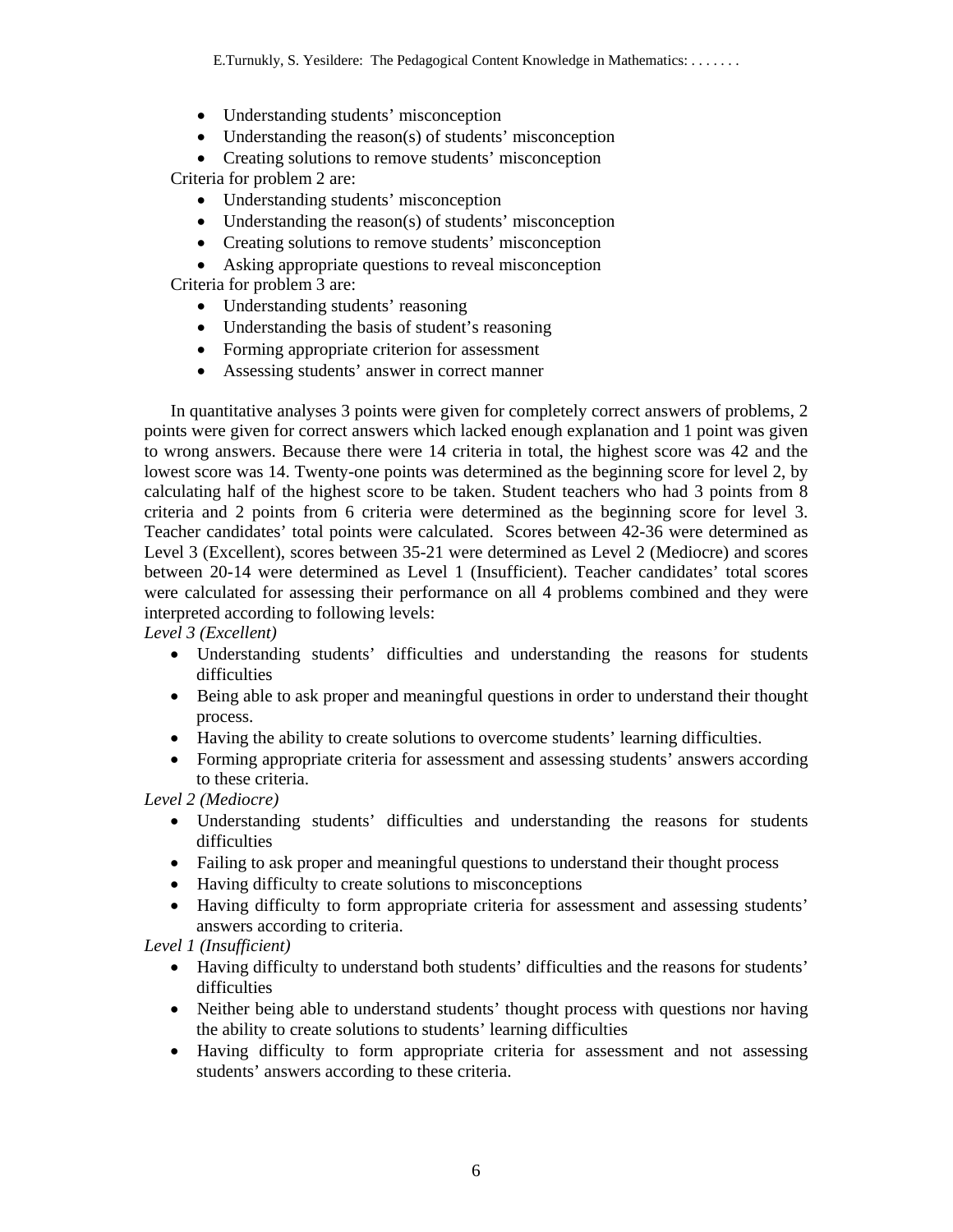- Understanding students' misconception
- Understanding the reason(s) of students' misconception

• Creating solutions to remove students' misconception Criteria for problem 2 are:

- Understanding students' misconception
- Understanding the reason(s) of students' misconception
- Creating solutions to remove students' misconception
- Asking appropriate questions to reveal misconception

Criteria for problem 3 are:

- Understanding students' reasoning
- Understanding the basis of student's reasoning
- Forming appropriate criterion for assessment
- Assessing students' answer in correct manner

In quantitative analyses 3 points were given for completely correct answers of problems, 2 points were given for correct answers which lacked enough explanation and 1 point was given to wrong answers. Because there were 14 criteria in total, the highest score was 42 and the lowest score was 14. Twenty-one points was determined as the beginning score for level 2, by calculating half of the highest score to be taken. Student teachers who had 3 points from 8 criteria and 2 points from 6 criteria were determined as the beginning score for level 3. Teacher candidates' total points were calculated. Scores between 42-36 were determined as Level 3 (Excellent), scores between 35-21 were determined as Level 2 (Mediocre) and scores between 20-14 were determined as Level 1 (Insufficient). Teacher candidates' total scores were calculated for assessing their performance on all 4 problems combined and they were interpreted according to following levels:

*Level 3 (Excellent)* 

- Understanding students' difficulties and understanding the reasons for students difficulties
- Being able to ask proper and meaningful questions in order to understand their thought process.
- Having the ability to create solutions to overcome students' learning difficulties.
- Forming appropriate criteria for assessment and assessing students' answers according to these criteria.

*Level 2 (Mediocre)* 

- Understanding students' difficulties and understanding the reasons for students difficulties
- Failing to ask proper and meaningful questions to understand their thought process
- Having difficulty to create solutions to misconceptions
- Having difficulty to form appropriate criteria for assessment and assessing students' answers according to criteria.

*Level 1 (Insufficient)* 

- Having difficulty to understand both students' difficulties and the reasons for students' difficulties
- Neither being able to understand students' thought process with questions nor having the ability to create solutions to students' learning difficulties
- Having difficulty to form appropriate criteria for assessment and not assessing students' answers according to these criteria.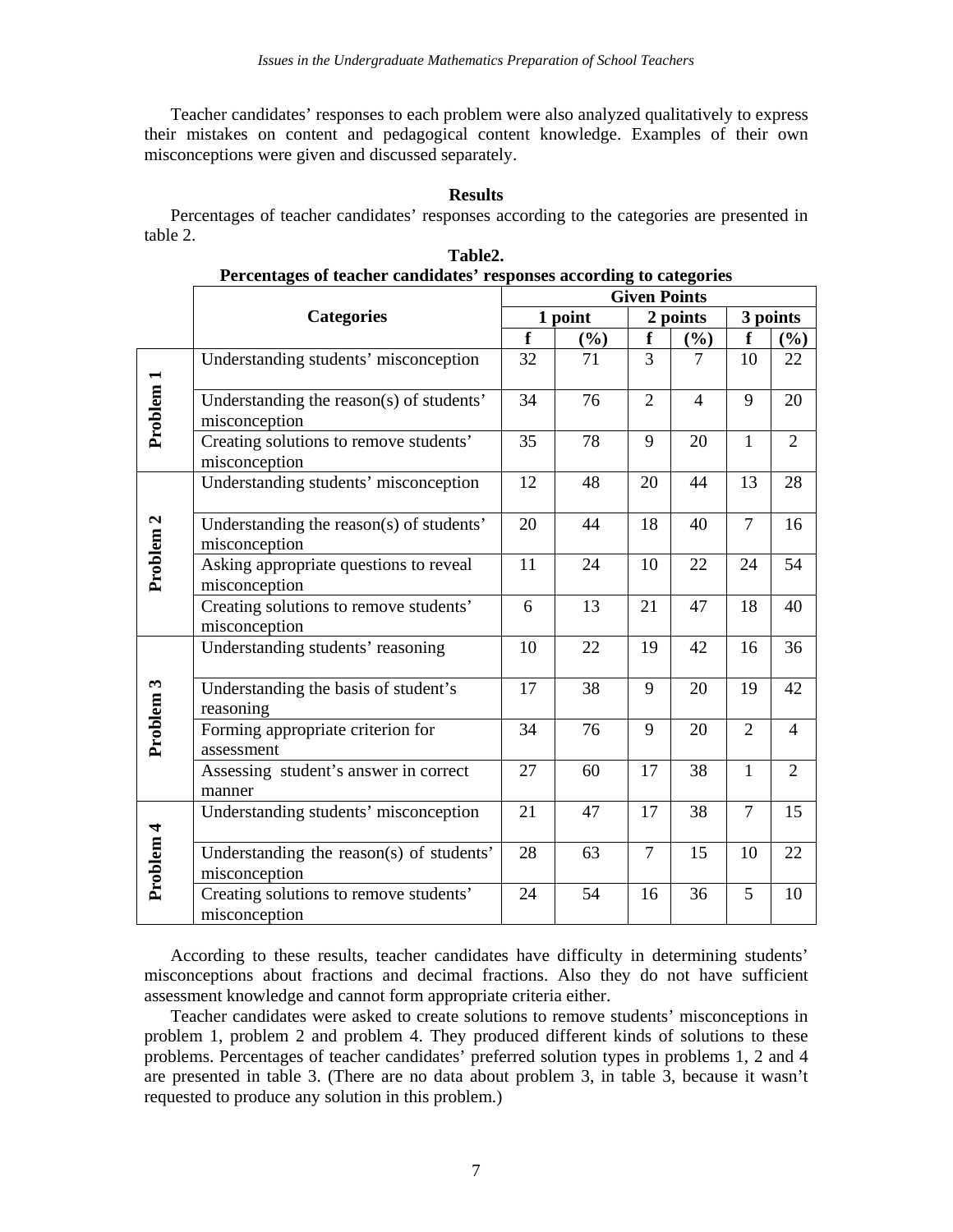Teacher candidates' responses to each problem were also analyzed qualitatively to express their mistakes on content and pedagogical content knowledge. Examples of their own misconceptions were given and discussed separately.

# **Results**

Percentages of teacher candidates' responses according to the categories are presented in table 2.

|                      | I creentages of teacher candidates "responses according to categories<br><b>Given Points</b> |                         |         |                |                |                |                |  |
|----------------------|----------------------------------------------------------------------------------------------|-------------------------|---------|----------------|----------------|----------------|----------------|--|
|                      | <b>Categories</b>                                                                            |                         | 1 point |                | 2 points       |                | 3 points       |  |
|                      |                                                                                              | $\overline{\mathbf{f}}$ | (%)     | f              | $(\%)$         | f              | $(\%)$         |  |
|                      | Understanding students' misconception                                                        | 32                      | 71      | 3              | 7              | 10             | 22             |  |
| Problem <sub>1</sub> | Understanding the reason(s) of students'<br>misconception                                    | 34                      | 76      | $\overline{2}$ | $\overline{4}$ | 9              | 20             |  |
|                      | Creating solutions to remove students'<br>misconception                                      | 35                      | 78      | 9              | 20             | $\mathbf{1}$   | $\overline{2}$ |  |
|                      | Understanding students' misconception                                                        | 12                      | 48      | 20             | 44             | 13             | 28             |  |
| Problem <sub>2</sub> | Understanding the reason(s) of students'<br>misconception                                    | 20                      | 44      | 18             | 40             | $\overline{7}$ | 16             |  |
|                      | Asking appropriate questions to reveal<br>misconception                                      | 11                      | 24      | 10             | 22             | 24             | 54             |  |
|                      | Creating solutions to remove students'<br>misconception                                      | 6                       | 13      | 21             | 47             | 18             | 40             |  |
|                      | Understanding students' reasoning                                                            | 10                      | 22      | 19             | 42             | 16             | 36             |  |
|                      | Understanding the basis of student's<br>reasoning                                            | 17                      | 38      | 9              | 20             | 19             | 42             |  |
| Problem 3            | Forming appropriate criterion for<br>assessment                                              | 34                      | 76      | 9              | 20             | $\overline{2}$ | $\overline{4}$ |  |
|                      | Assessing student's answer in correct<br>manner                                              | 27                      | 60      | 17             | 38             | $\mathbf{1}$   | $\overline{2}$ |  |
|                      | Understanding students' misconception                                                        | 21                      | 47      | 17             | 38             | $\overline{7}$ | 15             |  |
| Problem 4            | Understanding the reason(s) of students'<br>misconception                                    | 28                      | 63      | $\overline{7}$ | 15             | 10             | 22             |  |
|                      | Creating solutions to remove students'<br>misconception                                      | 24                      | 54      | 16             | 36             | 5              | 10             |  |

| Table2.                                                              |  |  |  |  |
|----------------------------------------------------------------------|--|--|--|--|
| Percentages of teacher candidates' responses according to categories |  |  |  |  |

According to these results, teacher candidates have difficulty in determining students' misconceptions about fractions and decimal fractions. Also they do not have sufficient assessment knowledge and cannot form appropriate criteria either.

Teacher candidates were asked to create solutions to remove students' misconceptions in problem 1, problem 2 and problem 4. They produced different kinds of solutions to these problems. Percentages of teacher candidates' preferred solution types in problems 1, 2 and 4 are presented in table 3. (There are no data about problem 3, in table 3, because it wasn't requested to produce any solution in this problem.)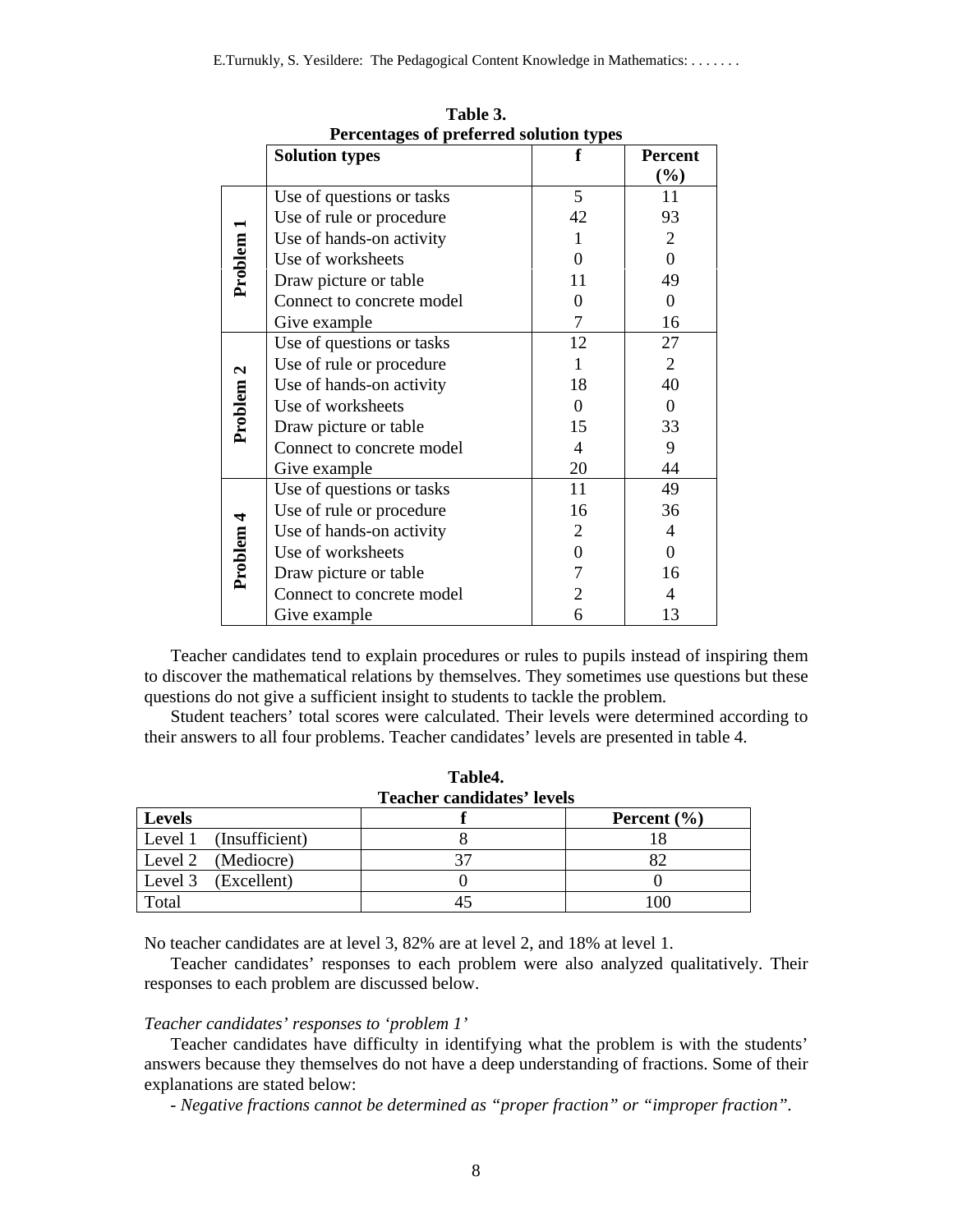| Percentages of preferred solution types |                           |                  |                  |  |  |
|-----------------------------------------|---------------------------|------------------|------------------|--|--|
|                                         | <b>Solution types</b>     |                  | <b>Percent</b>   |  |  |
|                                         |                           |                  | $(\%)$           |  |  |
|                                         | Use of questions or tasks | 5                | 11               |  |  |
|                                         | Use of rule or procedure  | 42               | 93               |  |  |
|                                         | Use of hands-on activity  | 1                | $\overline{2}$   |  |  |
|                                         | Use of worksheets         | 0                | $\overline{0}$   |  |  |
| Problem 1                               | Draw picture or table     | 11               | 49               |  |  |
|                                         | Connect to concrete model | 0                | 0                |  |  |
|                                         | Give example              | 7                | 16               |  |  |
|                                         | Use of questions or tasks | 12               | 27               |  |  |
|                                         | Use of rule or procedure  |                  | $\overline{2}$   |  |  |
| Problem <sub>2</sub>                    | Use of hands-on activity  | 18               | 40               |  |  |
|                                         | Use of worksheets         | 0                | $\boldsymbol{0}$ |  |  |
|                                         | Draw picture or table     | 15               | 33               |  |  |
|                                         | Connect to concrete model | $\overline{4}$   | 9                |  |  |
|                                         | Give example              | 20               | 44               |  |  |
|                                         | Use of questions or tasks | 11               | 49               |  |  |
| Problem 4                               | Use of rule or procedure  | 16               | 36               |  |  |
|                                         | Use of hands-on activity  | $\overline{2}$   | $\overline{4}$   |  |  |
|                                         | Use of worksheets         | $\boldsymbol{0}$ | $\overline{0}$   |  |  |
|                                         | Draw picture or table     | 7                | 16               |  |  |
|                                         | Connect to concrete model | $\overline{2}$   | 4                |  |  |
|                                         | Give example              | 6                | 13               |  |  |

**Table 3. Percentages of preferred solution types** 

Teacher candidates tend to explain procedures or rules to pupils instead of inspiring them to discover the mathematical relations by themselves. They sometimes use questions but these questions do not give a sufficient insight to students to tackle the problem.

Student teachers' total scores were calculated. Their levels were determined according to their answers to all four problems. Teacher candidates' levels are presented in table 4.

| Table4.<br><b>Teacher candidates' levels</b> |  |                 |  |  |
|----------------------------------------------|--|-----------------|--|--|
| <b>Levels</b>                                |  | Percent $(\% )$ |  |  |
| Level 1 (Insufficient)                       |  |                 |  |  |
| Level 2 (Mediocre)                           |  | 82              |  |  |
| Level 3<br>(Excellent)                       |  |                 |  |  |
| Total                                        |  | 100             |  |  |

No teacher candidates are at level 3, 82% are at level 2, and 18% at level 1.

Teacher candidates' responses to each problem were also analyzed qualitatively. Their responses to each problem are discussed below.

#### *Teacher candidates' responses to 'problem 1'*

Teacher candidates have difficulty in identifying what the problem is with the students' answers because they themselves do not have a deep understanding of fractions. Some of their explanations are stated below:

*- Negative fractions cannot be determined as "proper fraction" or "improper fraction".*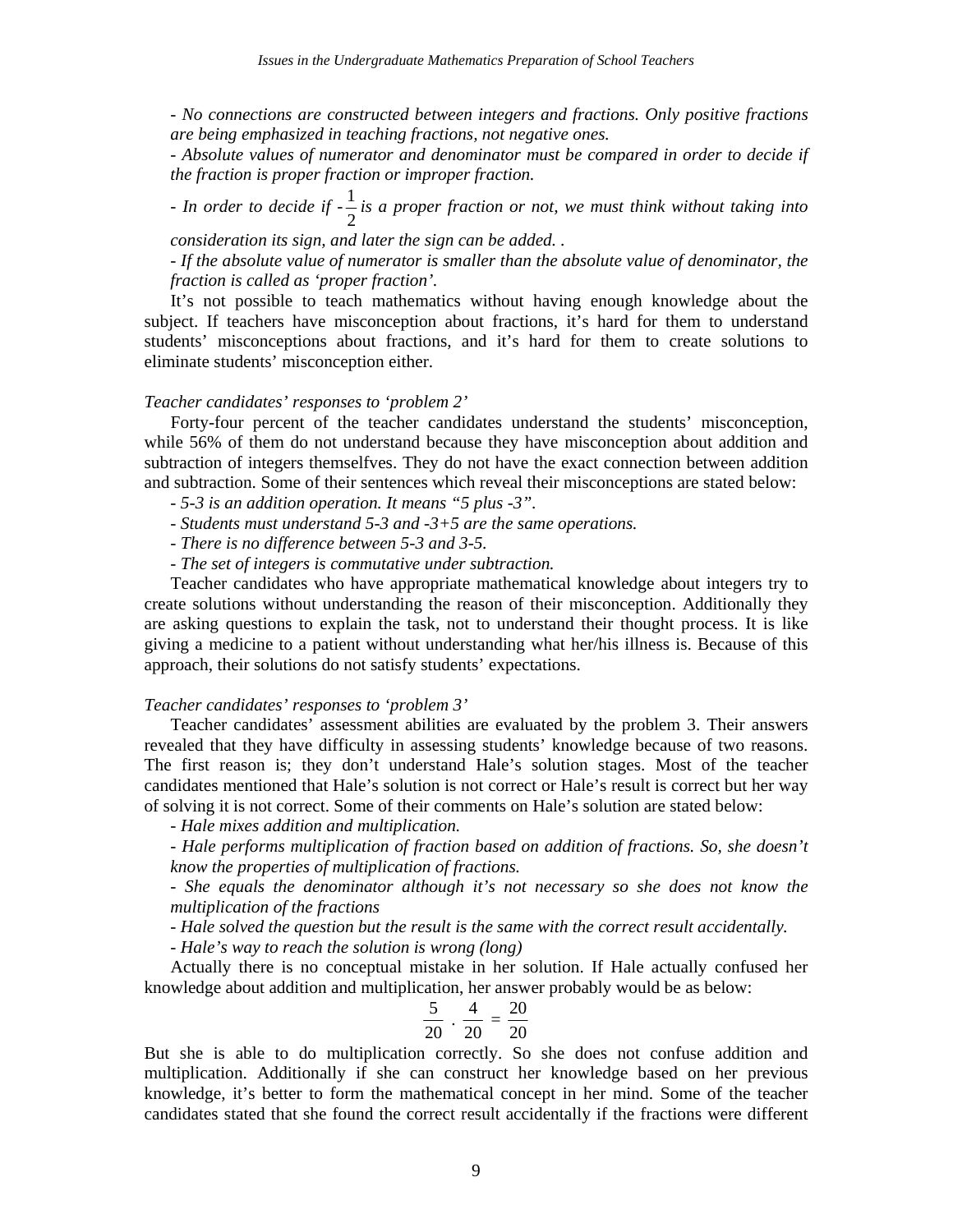*- No connections are constructed between integers and fractions. Only positive fractions are being emphasized in teaching fractions, not negative ones.* 

*- Absolute values of numerator and denominator must be compared in order to decide if the fraction is proper fraction or improper fraction.* 

*- In order to decide if*  $-\frac{1}{2}$  *is a proper fraction or not, we must think without taking into* 

*consideration its sign, and later the sign can be added. .* 

*- If the absolute value of numerator is smaller than the absolute value of denominator, the fraction is called as 'proper fraction'.* 

It's not possible to teach mathematics without having enough knowledge about the subject. If teachers have misconception about fractions, it's hard for them to understand students' misconceptions about fractions, and it's hard for them to create solutions to eliminate students' misconception either.

# *Teacher candidates' responses to 'problem 2'*

Forty-four percent of the teacher candidates understand the students' misconception, while 56% of them do not understand because they have misconception about addition and subtraction of integers themselfves. They do not have the exact connection between addition and subtraction. Some of their sentences which reveal their misconceptions are stated below:

- *5-3 is an addition operation. It means "5 plus -3".*
- *Students must understand 5-3 and -3+5 are the same operations.*
- *There is no difference between 5-3 and 3-5.*
- *The set of integers is commutative under subtraction.*

Teacher candidates who have appropriate mathematical knowledge about integers try to create solutions without understanding the reason of their misconception. Additionally they are asking questions to explain the task, not to understand their thought process. It is like giving a medicine to a patient without understanding what her/his illness is. Because of this approach, their solutions do not satisfy students' expectations.

#### *Teacher candidates' responses to 'problem 3'*

Teacher candidates' assessment abilities are evaluated by the problem 3. Their answers revealed that they have difficulty in assessing students' knowledge because of two reasons. The first reason is; they don't understand Hale's solution stages. Most of the teacher candidates mentioned that Hale's solution is not correct or Hale's result is correct but her way of solving it is not correct. Some of their comments on Hale's solution are stated below:

*- Hale mixes addition and multiplication.* 

*- Hale performs multiplication of fraction based on addition of fractions. So, she doesn't know the properties of multiplication of fractions.* 

*- She equals the denominator although it's not necessary so she does not know the multiplication of the fractions* 

*- Hale solved the question but the result is the same with the correct result accidentally.* 

*- Hale's way to reach the solution is wrong (long)* 

Actually there is no conceptual mistake in her solution. If Hale actually confused her knowledge about addition and multiplication, her answer probably would be as below:

$$
\frac{5}{20} \cdot \frac{4}{20} = \frac{20}{20}
$$

But she is able to do multiplication correctly. So she does not confuse addition and multiplication. Additionally if she can construct her knowledge based on her previous knowledge, it's better to form the mathematical concept in her mind. Some of the teacher candidates stated that she found the correct result accidentally if the fractions were different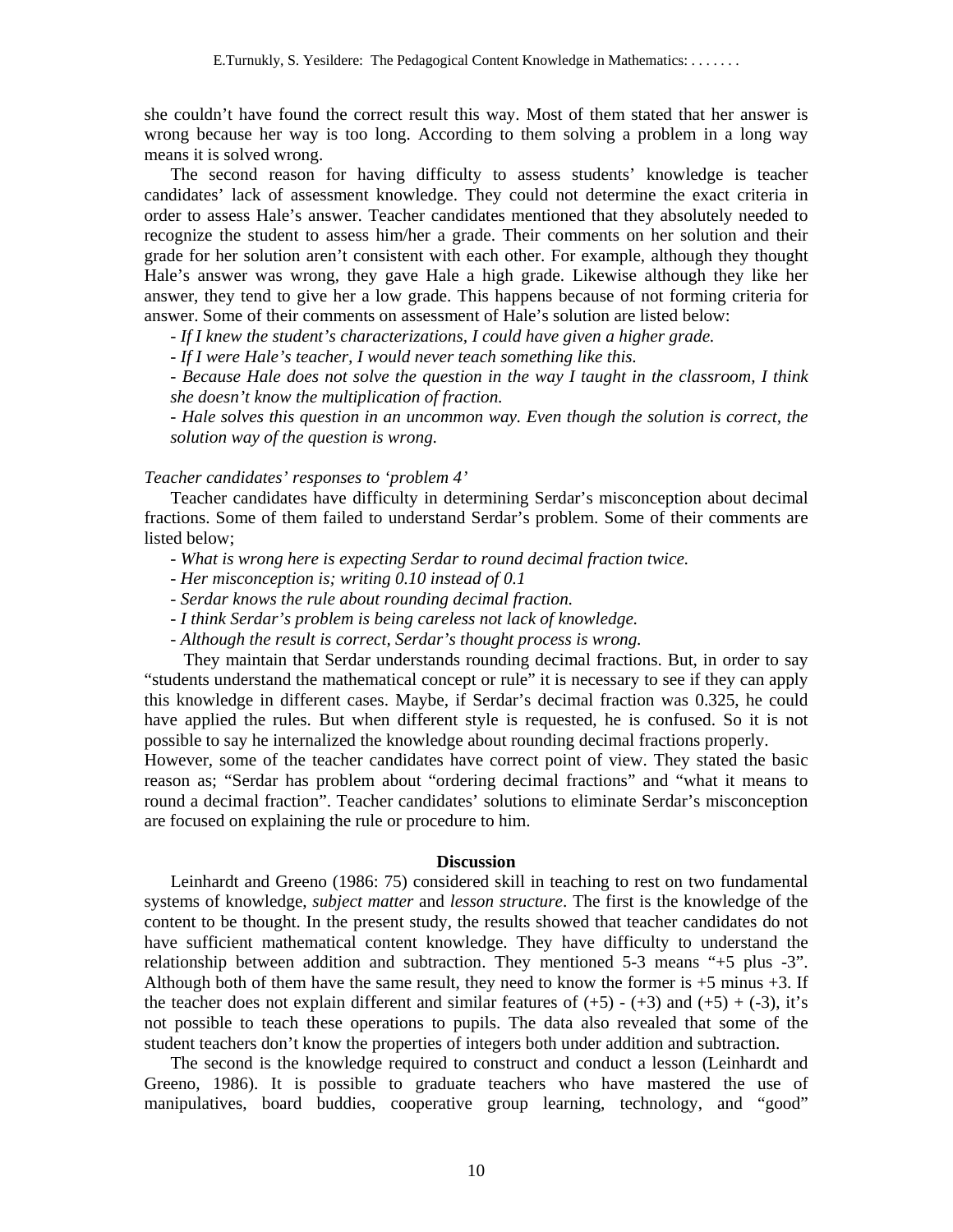she couldn't have found the correct result this way. Most of them stated that her answer is wrong because her way is too long. According to them solving a problem in a long way means it is solved wrong.

The second reason for having difficulty to assess students' knowledge is teacher candidates' lack of assessment knowledge. They could not determine the exact criteria in order to assess Hale's answer. Teacher candidates mentioned that they absolutely needed to recognize the student to assess him/her a grade. Their comments on her solution and their grade for her solution aren't consistent with each other. For example, although they thought Hale's answer was wrong, they gave Hale a high grade. Likewise although they like her answer, they tend to give her a low grade. This happens because of not forming criteria for answer. Some of their comments on assessment of Hale's solution are listed below:

*- If I knew the student's characterizations, I could have given a higher grade.* 

*- If I were Hale's teacher, I would never teach something like this.* 

*- Because Hale does not solve the question in the way I taught in the classroom, I think she doesn't know the multiplication of fraction.* 

*- Hale solves this question in an uncommon way. Even though the solution is correct, the solution way of the question is wrong.* 

# *Teacher candidates' responses to 'problem 4'*

Teacher candidates have difficulty in determining Serdar's misconception about decimal fractions. Some of them failed to understand Serdar's problem. Some of their comments are listed below;

- *What is wrong here is expecting Serdar to round decimal fraction twice.*
- *Her misconception is; writing 0.10 instead of 0.1*
- *Serdar knows the rule about rounding decimal fraction.*
- *I think Serdar's problem is being careless not lack of knowledge.*
- *Although the result is correct, Serdar's thought process is wrong.*

They maintain that Serdar understands rounding decimal fractions. But, in order to say "students understand the mathematical concept or rule" it is necessary to see if they can apply this knowledge in different cases. Maybe, if Serdar's decimal fraction was 0.325, he could have applied the rules. But when different style is requested, he is confused. So it is not possible to say he internalized the knowledge about rounding decimal fractions properly.

However, some of the teacher candidates have correct point of view. They stated the basic reason as; "Serdar has problem about "ordering decimal fractions" and "what it means to round a decimal fraction". Teacher candidates' solutions to eliminate Serdar's misconception are focused on explaining the rule or procedure to him.

## **Discussion**

Leinhardt and Greeno (1986: 75) considered skill in teaching to rest on two fundamental systems of knowledge, *subject matter* and *lesson structure*. The first is the knowledge of the content to be thought. In the present study, the results showed that teacher candidates do not have sufficient mathematical content knowledge. They have difficulty to understand the relationship between addition and subtraction. They mentioned 5-3 means "+5 plus -3". Although both of them have the same result, they need to know the former is +5 minus +3. If the teacher does not explain different and similar features of  $(+5)$  -  $(+3)$  and  $(+5)$  +  $(-3)$ , it's not possible to teach these operations to pupils. The data also revealed that some of the student teachers don't know the properties of integers both under addition and subtraction.

The second is the knowledge required to construct and conduct a lesson (Leinhardt and Greeno, 1986). It is possible to graduate teachers who have mastered the use of manipulatives, board buddies, cooperative group learning, technology, and "good"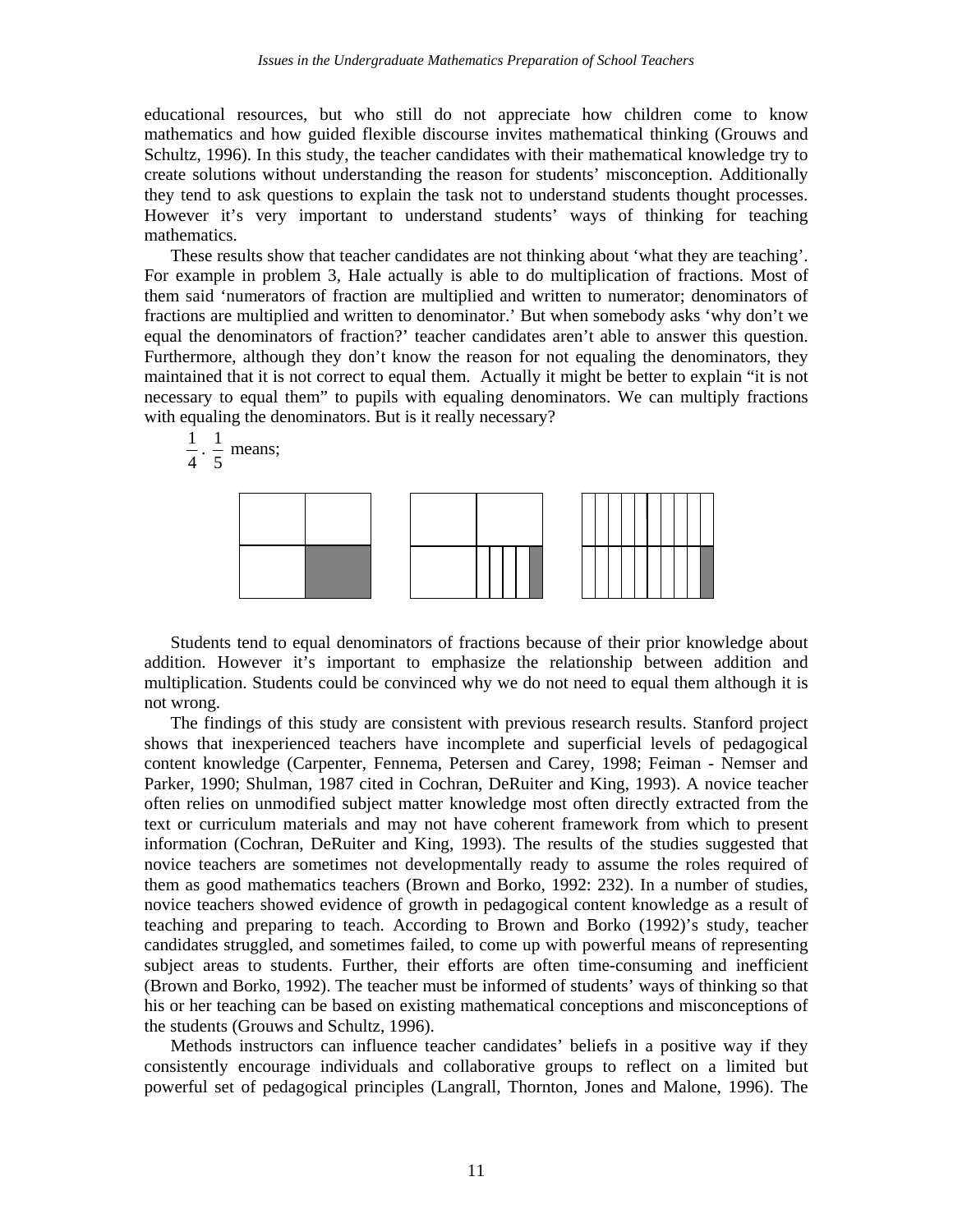educational resources, but who still do not appreciate how children come to know mathematics and how guided flexible discourse invites mathematical thinking (Grouws and Schultz, 1996). In this study, the teacher candidates with their mathematical knowledge try to create solutions without understanding the reason for students' misconception. Additionally they tend to ask questions to explain the task not to understand students thought processes. However it's very important to understand students' ways of thinking for teaching mathematics.

These results show that teacher candidates are not thinking about 'what they are teaching'. For example in problem 3, Hale actually is able to do multiplication of fractions. Most of them said 'numerators of fraction are multiplied and written to numerator; denominators of fractions are multiplied and written to denominator.' But when somebody asks 'why don't we equal the denominators of fraction?' teacher candidates aren't able to answer this question. Furthermore, although they don't know the reason for not equaling the denominators, they maintained that it is not correct to equal them. Actually it might be better to explain "it is not necessary to equal them" to pupils with equaling denominators. We can multiply fractions with equaling the denominators. But is it really necessary?



4

Students tend to equal denominators of fractions because of their prior knowledge about addition. However it's important to emphasize the relationship between addition and multiplication. Students could be convinced why we do not need to equal them although it is not wrong.

The findings of this study are consistent with previous research results. Stanford project shows that inexperienced teachers have incomplete and superficial levels of pedagogical content knowledge (Carpenter, Fennema, Petersen and Carey, 1998; Feiman - Nemser and Parker, 1990; Shulman, 1987 cited in Cochran, DeRuiter and King, 1993). A novice teacher often relies on unmodified subject matter knowledge most often directly extracted from the text or curriculum materials and may not have coherent framework from which to present information (Cochran, DeRuiter and King, 1993). The results of the studies suggested that novice teachers are sometimes not developmentally ready to assume the roles required of them as good mathematics teachers (Brown and Borko, 1992: 232). In a number of studies, novice teachers showed evidence of growth in pedagogical content knowledge as a result of teaching and preparing to teach. According to Brown and Borko (1992)'s study, teacher candidates struggled, and sometimes failed, to come up with powerful means of representing subject areas to students. Further, their efforts are often time-consuming and inefficient (Brown and Borko, 1992). The teacher must be informed of students' ways of thinking so that his or her teaching can be based on existing mathematical conceptions and misconceptions of the students (Grouws and Schultz, 1996).

Methods instructors can influence teacher candidates' beliefs in a positive way if they consistently encourage individuals and collaborative groups to reflect on a limited but powerful set of pedagogical principles (Langrall, Thornton, Jones and Malone, 1996). The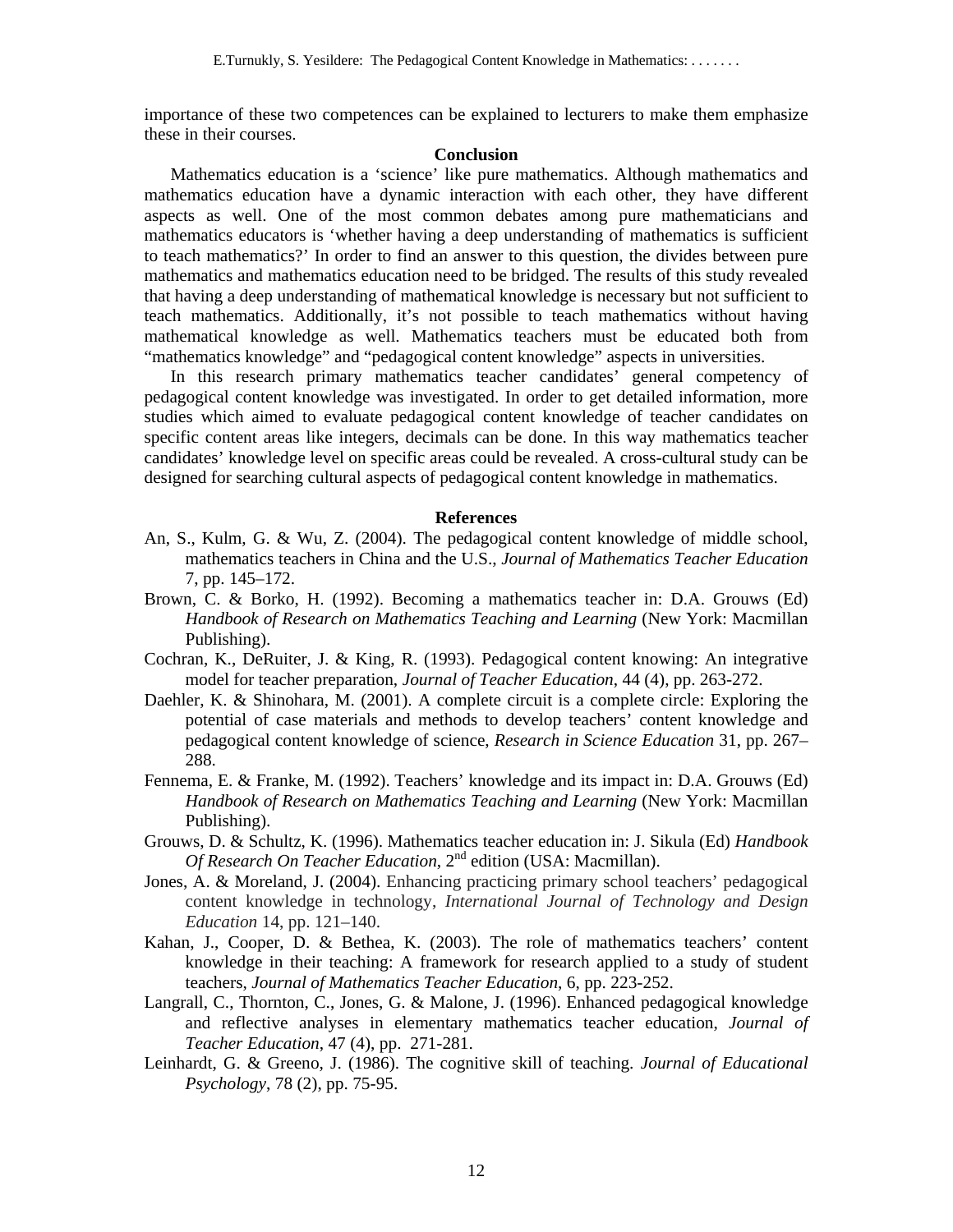importance of these two competences can be explained to lecturers to make them emphasize these in their courses.

## **Conclusion**

Mathematics education is a 'science' like pure mathematics. Although mathematics and mathematics education have a dynamic interaction with each other, they have different aspects as well. One of the most common debates among pure mathematicians and mathematics educators is 'whether having a deep understanding of mathematics is sufficient to teach mathematics?' In order to find an answer to this question, the divides between pure mathematics and mathematics education need to be bridged. The results of this study revealed that having a deep understanding of mathematical knowledge is necessary but not sufficient to teach mathematics. Additionally, it's not possible to teach mathematics without having mathematical knowledge as well. Mathematics teachers must be educated both from "mathematics knowledge" and "pedagogical content knowledge" aspects in universities.

In this research primary mathematics teacher candidates' general competency of pedagogical content knowledge was investigated. In order to get detailed information, more studies which aimed to evaluate pedagogical content knowledge of teacher candidates on specific content areas like integers, decimals can be done. In this way mathematics teacher candidates' knowledge level on specific areas could be revealed. A cross-cultural study can be designed for searching cultural aspects of pedagogical content knowledge in mathematics.

#### **References**

- An, S., Kulm, G. & Wu, Z. (2004). The pedagogical content knowledge of middle school, mathematics teachers in China and the U.S., *Journal of Mathematics Teacher Education*  7, pp. 145–172.
- Brown, C. & Borko, H. (1992). Becoming a mathematics teacher in: D.A. Grouws (Ed) *Handbook of Research on Mathematics Teaching and Learning* (New York: Macmillan Publishing).
- Cochran, K., DeRuiter, J. & King, R. (1993). Pedagogical content knowing: An integrative model for teacher preparation, *Journal of Teacher Education*, 44 (4), pp. 263-272.
- Daehler, K. & Shinohara, M. (2001). A complete circuit is a complete circle: Exploring the potential of case materials and methods to develop teachers' content knowledge and pedagogical content knowledge of science, *Research in Science Education* 31, pp. 267– 288.
- Fennema, E. & Franke, M. (1992). Teachers' knowledge and its impact in: D.A. Grouws (Ed) *Handbook of Research on Mathematics Teaching and Learning* (New York: Macmillan Publishing).
- Grouws, D. & Schultz, K. (1996). Mathematics teacher education in: J. Sikula (Ed) *Handbook Of Research On Teacher Education*, 2<sup>nd</sup> edition (USA: Macmillan).
- Jones, A. & Moreland, J. (2004). Enhancing practicing primary school teachers' pedagogical content knowledge in technology, *International Journal of Technology and Design Education* 14, pp. 121–140.
- Kahan, J., Cooper, D. & Bethea, K. (2003). The role of mathematics teachers' content knowledge in their teaching: A framework for research applied to a study of student teachers, *Journal of Mathematics Teacher Education*, 6, pp. 223-252.
- Langrall, C., Thornton, C., Jones, G. & Malone, J. (1996). Enhanced pedagogical knowledge and reflective analyses in elementary mathematics teacher education, *Journal of Teacher Education*, 47 (4), pp. 271-281.
- Leinhardt, G. & Greeno, J. (1986). The cognitive skill of teaching. *Journal of Educational Psychology*, 78 (2), pp. 75-95.